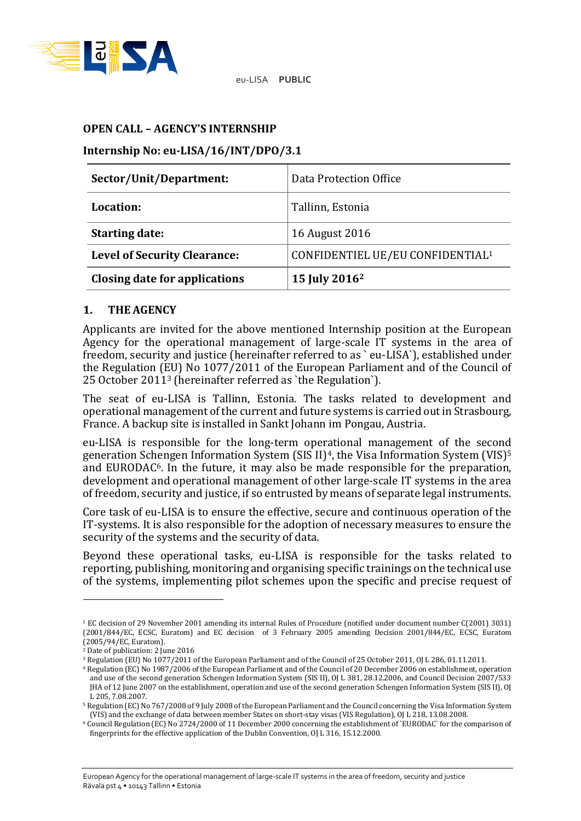

eu-LISA **PUBLIC**

#### **OPEN CALL – AGENCY'S INTERNSHIP**

### **Internship No: eu-LISA/16/INT/DPO/3.1**

| Sector/Unit/Department:             | Data Protection Office                       |
|-------------------------------------|----------------------------------------------|
| Location:                           | Tallinn, Estonia                             |
| <b>Starting date:</b>               | 16 August 2016                               |
| <b>Level of Security Clearance:</b> | CONFIDENTIEL UE/EU CONFIDENTIAL <sup>1</sup> |
| Closing date for applications       | 15 July 2016 <sup>2</sup>                    |

#### **1. THE AGENCY**

Applicants are invited for the above mentioned Internship position at the European Agency for the operational management of large-scale IT systems in the area of freedom, security and justice (hereinafter referred to as ` eu-LISA`), established under the Regulation (EU) No 1077/2011 of the European Parliament and of the Council of 25 October 2011<sup>3</sup> (hereinafter referred as `the Regulation`).

The seat of eu-LISA is Tallinn, Estonia. The tasks related to development and operational management of the current and future systems is carried out in Strasbourg, France. A backup site is installed in Sankt Johann im Pongau, Austria.

eu-LISA is responsible for the long-term operational management of the second generation Schengen Information System (SIS II)<sup>4</sup>, the Visa Information System (VIS)<sup>5</sup> and EURODAC6. In the future, it may also be made responsible for the preparation, development and operational management of other large-scale IT systems in the area of freedom, security and justice, if so entrusted by means of separate legal instruments.

Core task of eu-LISA is to ensure the effective, secure and continuous operation of the IT-systems. It is also responsible for the adoption of necessary measures to ensure the security of the systems and the security of data.

Beyond these operational tasks, eu-LISA is responsible for the tasks related to reporting, publishing, monitoring and organising specific trainings on the technical use of the systems, implementing pilot schemes upon the specific and precise request of

<u>.</u>

European Agency for the operational management of large-scale IT systems in the area of freedom, security and justice Rävala pst 4 • 10143 Tallinn • Estonia

<sup>1</sup> EC decision of 29 November 2001 amending its internal Rules of Procedure (notified under document number C(2001) 3031) (2001/844/EC, ECSC, Euratom) and EC decision of 3 February 2005 amending Decision 2001/844/EC, ECSC, Euratom (2005/94/EC, Euratom).

<sup>2</sup> Date of publication: 2 June 2016

<sup>3</sup> Regulation (EU) No 1077/2011 of the European Parliament and of the Council of 25 October 2011, OJ L 286, 01.11.2011.

<sup>4</sup> Regulation (EC) No 1987/2006 of the European Parliament and of the Council of 20 December 2006 on establishment, operation and use of the second generation Schengen Information System (SIS II), OJ L 381, 28.12.2006, and Council Decision 2007/533 JHA of 12 June 2007 on the establishment, operation and use of the second generation Schengen Information System (SIS II), OJ L 205, 7.08.2007.

<sup>5</sup> Regulation (EC) No 767/2008 of 9 July 2008 of the European Parliament and the Council concerning the Visa Information System (VIS) and the exchange of data between member States on short-stay visas (VIS Regulation), OJ L 218, 13.08.2008.

<sup>6</sup> Council Regulation (EC) No 2724/2000 of 11 December 2000 concerning the establishment of `EURODAC` for the comparison of fingerprints for the effective application of the Dublin Convention, OJ L 316, 15.12.2000.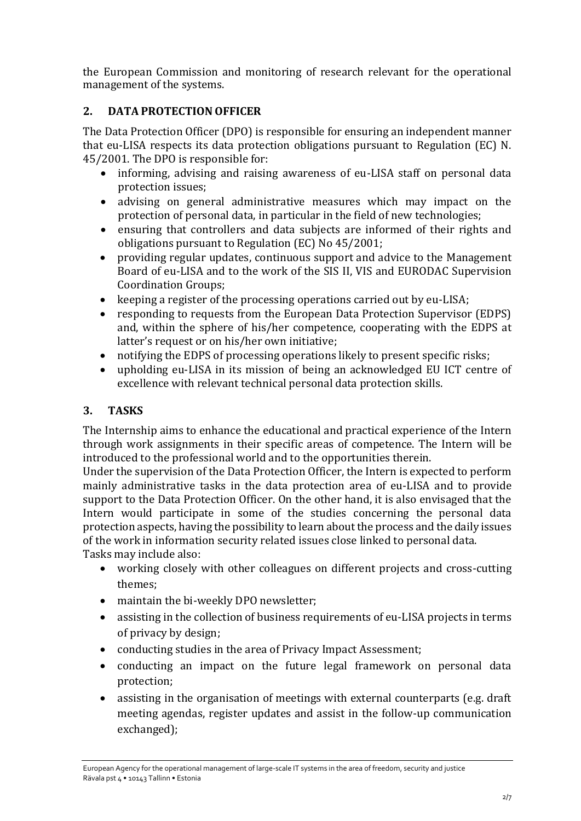the European Commission and monitoring of research relevant for the operational management of the systems.

# **2. DATA PROTECTION OFFICER**

The Data Protection Officer (DPO) is responsible for ensuring an independent manner that eu-LISA respects its data protection obligations pursuant to Regulation (EC) N. 45/2001. The DPO is responsible for:

- informing, advising and raising awareness of eu-LISA staff on personal data protection issues;
- advising on general administrative measures which may impact on the protection of personal data, in particular in the field of new technologies;
- ensuring that controllers and data subjects are informed of their rights and obligations pursuant to Regulation (EC) No 45/2001;
- providing regular updates, continuous support and advice to the Management Board of eu-LISA and to the work of the SIS II, VIS and EURODAC Supervision Coordination Groups;
- keeping a register of the processing operations carried out by eu-LISA;
- responding to requests from the European Data Protection Supervisor (EDPS) and, within the sphere of his/her competence, cooperating with the EDPS at latter's request or on his/her own initiative;
- notifying the EDPS of processing operations likely to present specific risks;
- upholding eu-LISA in its mission of being an acknowledged EU ICT centre of excellence with relevant technical personal data protection skills.

# **3. TASKS**

The Internship aims to enhance the educational and practical experience of the Intern through work assignments in their specific areas of competence. The Intern will be introduced to the professional world and to the opportunities therein.

Under the supervision of the Data Protection Officer, the Intern is expected to perform mainly administrative tasks in the data protection area of eu-LISA and to provide support to the Data Protection Officer. On the other hand, it is also envisaged that the Intern would participate in some of the studies concerning the personal data protection aspects, having the possibility to learn about the process and the daily issues of the work in information security related issues close linked to personal data.

Tasks may include also:

- working closely with other colleagues on different projects and cross-cutting themes;
- maintain the bi-weekly DPO newsletter;
- assisting in the collection of business requirements of eu-LISA projects in terms of privacy by design;
- conducting studies in the area of Privacy Impact Assessment;
- conducting an impact on the future legal framework on personal data protection;
- assisting in the organisation of meetings with external counterparts (e.g. draft meeting agendas, register updates and assist in the follow-up communication exchanged);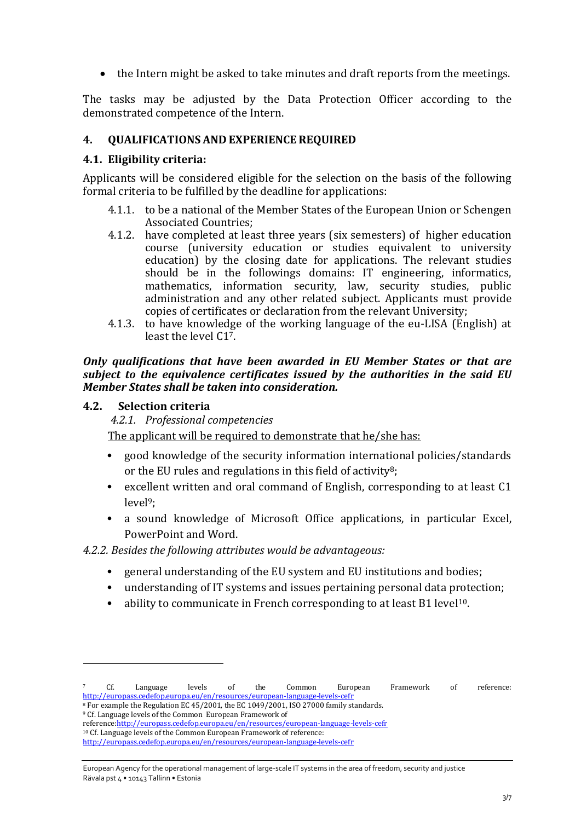the Intern might be asked to take minutes and draft reports from the meetings.

The tasks may be adjusted by the Data Protection Officer according to the demonstrated competence of the Intern.

### **4. QUALIFICATIONS AND EXPERIENCE REQUIRED**

#### **4.1. Eligibility criteria:**

Applicants will be considered eligible for the selection on the basis of the following formal criteria to be fulfilled by the deadline for applications:

- 4.1.1. to be a national of the Member States of the European Union or Schengen Associated Countries;
- 4.1.2. have completed at least three years (six semesters) of higher education course (university education or studies equivalent to university education) by the closing date for applications. The relevant studies should be in the followings domains: IT engineering, informatics, mathematics, information security, law, security studies, public administration and any other related subject. Applicants must provide copies of certificates or declaration from the relevant University;
- 4.1.3. to have knowledge of the working language of the eu-LISA (English) at least the level  $C1^7$ .

#### *Only qualifications that have been awarded in EU Member States or that are subject to the equivalence certificates issued by the authorities in the said EU Member States shall be taken into consideration.*

#### **4.2. Selection criteria**

<u>.</u>

*4.2.1. Professional competencies*

The applicant will be required to demonstrate that he/she has:

- good knowledge of the security information international policies/standards or the EU rules and regulations in this field of activity<sup>8</sup>;
- excellent written and oral command of English, corresponding to at least C1 level9;
- a sound knowledge of Microsoft Office applications, in particular Excel, PowerPoint and Word.

*4.2.2. Besides the following attributes would be advantageous:* 

- general understanding of the EU system and EU institutions and bodies;
- understanding of IT systems and issues pertaining personal data protection;
- ability to communicate in French corresponding to at least B1 level<sup>10</sup>.

 $7$  Cf. Language levels of the Common European Framework of reference: <http://europass.cedefop.europa.eu/en/resources/european-language-levels-cefr>

<sup>&</sup>lt;sup>8</sup> For example the Regulation EC 45/2001, the EC 1049/2001, ISO 27000 family standards. <sup>9</sup> Cf. Language levels of the Common European Framework of

reference[:http://europass.cedefop.europa.eu/en/resources/european-language-levels-cefr](http://europass.cedefop.europa.eu/en/resources/european-language-levels-cefr)

<sup>10</sup> Cf. Language levels of the Common European Framework of reference:

<http://europass.cedefop.europa.eu/en/resources/european-language-levels-cefr>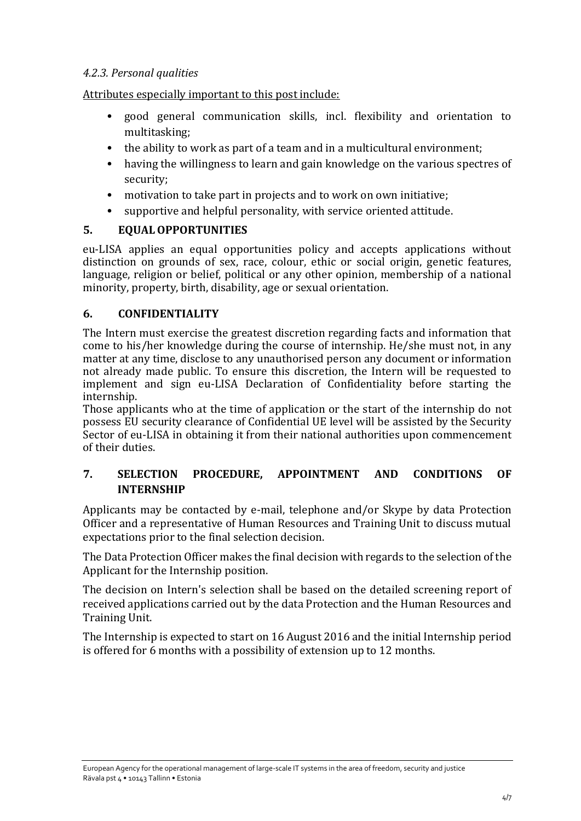# *4.2.3. Personal qualities*

Attributes especially important to this post include:

- good general communication skills, incl. flexibility and orientation to multitasking;
- the ability to work as part of a team and in a multicultural environment;
- having the willingness to learn and gain knowledge on the various spectres of security;
- motivation to take part in projects and to work on own initiative;
- supportive and helpful personality, with service oriented attitude.

# **5. EQUALOPPORTUNITIES**

eu-LISA applies an equal opportunities policy and accepts applications without distinction on grounds of sex, race, colour, ethic or social origin, genetic features, language, religion or belief, political or any other opinion, membership of a national minority, property, birth, disability, age or sexual orientation.

# **6. CONFIDENTIALITY**

The Intern must exercise the greatest discretion regarding facts and information that come to his/her knowledge during the course of internship. He/she must not, in any matter at any time, disclose to any unauthorised person any document or information not already made public. To ensure this discretion, the Intern will be requested to implement and sign eu-LISA Declaration of Confidentiality before starting the internship.

Those applicants who at the time of application or the start of the internship do not possess EU security clearance of Confidential UE level will be assisted by the Security Sector of eu-LISA in obtaining it from their national authorities upon commencement of their duties.

# **7. SELECTION PROCEDURE, APPOINTMENT AND CONDITIONS OF INTERNSHIP**

Applicants may be contacted by e-mail, telephone and/or Skype by data Protection Officer and a representative of Human Resources and Training Unit to discuss mutual expectations prior to the final selection decision.

The Data Protection Officer makes the final decision with regards to the selection of the Applicant for the Internship position.

The decision on Intern's selection shall be based on the detailed screening report of received applications carried out by the data Protection and the Human Resources and Training Unit.

The Internship is expected to start on 16 August 2016 and the initial Internship period is offered for 6 months with a possibility of extension up to 12 months.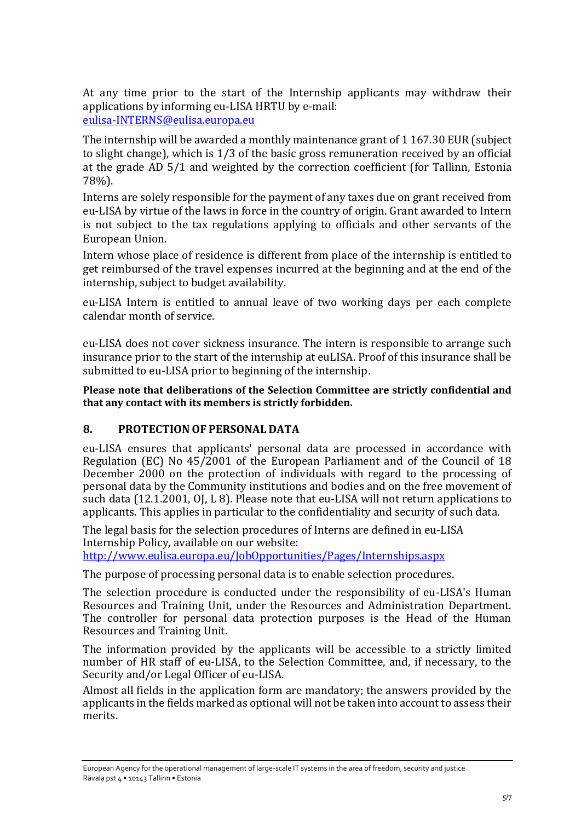At any time prior to the start of the Internship applicants may withdraw their applications by informing eu-LISA HRTU by e-mail: [eulisa-INTERNS@eulisa.europa.eu](mailto:eulisa-INTERNS@eulisa.europa.eu)

The internship will be awarded a monthly maintenance grant of 1 167.30 EUR (subject to slight change), which is 1/3 of the basic gross remuneration received by an official at the grade AD 5/1 and weighted by the correction coefficient (for Tallinn, Estonia 78%).

Interns are solely responsible for the payment of any taxes due on grant received from eu-LISA by virtue of the laws in force in the country of origin. Grant awarded to Intern is not subject to the tax regulations applying to officials and other servants of the European Union.

Intern whose place of residence is different from place of the internship is entitled to get reimbursed of the travel expenses incurred at the beginning and at the end of the internship, subject to budget availability.

eu-LISA Intern is entitled to annual leave of two working days per each complete calendar month of service.

eu-LISA does not cover sickness insurance. The intern is responsible to arrange such insurance prior to the start of the internship at euLISA. Proof of this insurance shall be submitted to eu-LISA prior to beginning of the internship.

**Please note that deliberations of the Selection Committee are strictly confidential and that any contact with its members is strictly forbidden.** 

### **8. PROTECTION OF PERSONAL DATA**

eu-LISA ensures that applicants' personal data are processed in accordance with Regulation (EC) No 45/2001 of the European Parliament and of the Council of 18 December 2000 on the protection of individuals with regard to the processing of personal data by the Community institutions and bodies and on the free movement of such data (12.1.2001, OJ, L 8). Please note that eu-LISA will not return applications to applicants. This applies in particular to the confidentiality and security of such data.

The legal basis for the selection procedures of Interns are defined in eu-LISA Internship Policy, available on our website: <http://www.eulisa.europa.eu/JobOpportunities/Pages/Internships.aspx>

The purpose of processing personal data is to enable selection procedures.

The selection procedure is conducted under the responsibility of eu-LISA's Human Resources and Training Unit, under the Resources and Administration Department. The controller for personal data protection purposes is the Head of the Human Resources and Training Unit.

The information provided by the applicants will be accessible to a strictly limited number of HR staff of eu-LISA, to the Selection Committee, and, if necessary, to the Security and/or Legal Officer of eu-LISA.

Almost all fields in the application form are mandatory; the answers provided by the applicants in the fields marked as optional will not be taken into account to assess their merits.

European Agency for the operational management of large-scale IT systems in the area of freedom, security and justice Rävala pst 4 • 10143 Tallinn • Estonia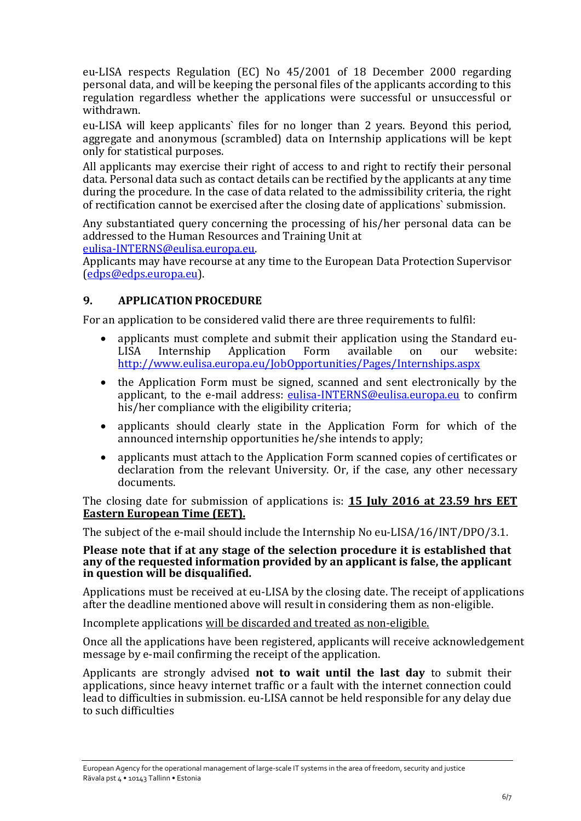eu-LISA respects Regulation (EC) No 45/2001 of 18 December 2000 regarding personal data, and will be keeping the personal files of the applicants according to this regulation regardless whether the applications were successful or unsuccessful or withdrawn.

eu-LISA will keep applicants` files for no longer than 2 years. Beyond this period, aggregate and anonymous (scrambled) data on Internship applications will be kept only for statistical purposes.

All applicants may exercise their right of access to and right to rectify their personal data. Personal data such as contact details can be rectified by the applicants at any time during the procedure. In the case of data related to the admissibility criteria, the right of rectification cannot be exercised after the closing date of applications` submission.

Any substantiated query concerning the processing of his/her personal data can be addressed to the Human Resources and Training Unit at

[eulisa-INTERNS@eulisa.europa.eu.](mailto:eulisa-INTERNS@eulisa.europa.eu)

Applicants may have recourse at any time to the European Data Protection Supervisor [\(edps@edps.europa.eu\)](mailto:edps@edps.europa.eu).

### **9. APPLICATION PROCEDURE**

For an application to be considered valid there are three requirements to fulfil:

- applicants must complete and submit their application using the Standard eu-<br>LISA Internship Application Form available on our website: LISA Internship Application Form available on our website: <http://www.eulisa.europa.eu/JobOpportunities/Pages/Internships.aspx>
- the Application Form must be signed, scanned and sent electronically by the applicant, to the e-mail address: [eulisa-INTERNS@eulisa.europa.eu](mailto:eulisa-INTERNS@eulisa.europa.eu) to confirm his/her compliance with the eligibility criteria;
- applicants should clearly state in the Application Form for which of the announced internship opportunities he/she intends to apply;
- applicants must attach to the Application Form scanned copies of certificates or declaration from the relevant University. Or, if the case, any other necessary documents.

The closing date for submission of applications is: **15 July 2016 at 23.59 hrs EET Eastern European Time (EET).**

The subject of the e-mail should include the Internship No eu-LISA/16/INT/DPO/3.1.

#### **Please note that if at any stage of the selection procedure it is established that any of the requested information provided by an applicant is false, the applicant in question will be disqualified.**

Applications must be received at eu-LISA by the closing date. The receipt of applications after the deadline mentioned above will result in considering them as non-eligible.

Incomplete applications will be discarded and treated as non-eligible.

Once all the applications have been registered, applicants will receive acknowledgement message by e-mail confirming the receipt of the application.

Applicants are strongly advised **not to wait until the last day** to submit their applications, since heavy internet traffic or a fault with the internet connection could lead to difficulties in submission. eu-LISA cannot be held responsible for any delay due to such difficulties

European Agency for the operational management of large-scale IT systems in the area of freedom, security and justice Rävala pst 4 • 10143 Tallinn • Estonia